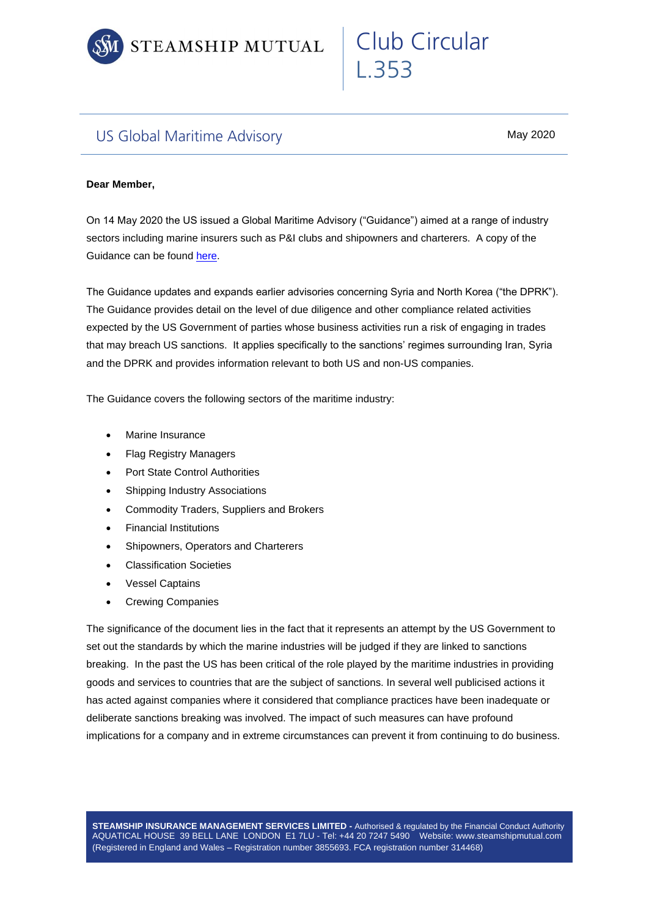

## US Global Maritime Advisory

May 2020

Club Circular

L.353

## **Dear Member,**

On 14 May 2020 the US issued a Global Maritime Advisory ("Guidance") aimed at a range of industry sectors including marine insurers such as P&I clubs and shipowners and charterers. A copy of the Guidance can be found [here.](https://www.treasury.gov/resource-center/sanctions/Programs/Documents/05142020_global_advisory_v1.pdf)

The Guidance updates and expands earlier advisories concerning Syria and North Korea ("the DPRK"). The Guidance provides detail on the level of due diligence and other compliance related activities expected by the US Government of parties whose business activities run a risk of engaging in trades that may breach US sanctions. It applies specifically to the sanctions' regimes surrounding Iran, Syria and the DPRK and provides information relevant to both US and non-US companies.

The Guidance covers the following sectors of the maritime industry:

- Marine Insurance
- Flag Registry Managers
- Port State Control Authorities
- Shipping Industry Associations
- Commodity Traders, Suppliers and Brokers
- Financial Institutions
- Shipowners, Operators and Charterers
- Classification Societies
- **Vessel Captains**
- Crewing Companies

The significance of the document lies in the fact that it represents an attempt by the US Government to set out the standards by which the marine industries will be judged if they are linked to sanctions breaking. In the past the US has been critical of the role played by the maritime industries in providing goods and services to countries that are the subject of sanctions. In several well publicised actions it has acted against companies where it considered that compliance practices have been inadequate or deliberate sanctions breaking was involved. The impact of such measures can have profound implications for a company and in extreme circumstances can prevent it from continuing to do business.

**STEAMSHIP INSURANCE MANAGEMENT SERVICES LIMITED -** Authorised & regulated by the Financial Conduct Authority AQUATICAL HOUSE 39 BELL LANE LONDON E1 7LU - Tel: +44 20 7247 5490 Website: www.steamshipmutual.com (Registered in England and Wales – Registration number 3855693. FCA registration number 314468)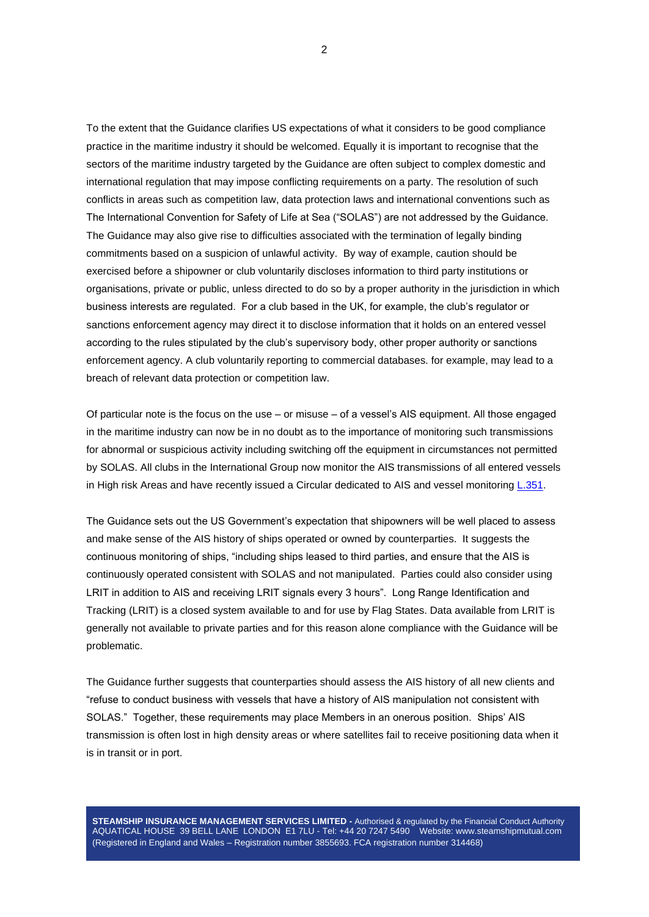To the extent that the Guidance clarifies US expectations of what it considers to be good compliance practice in the maritime industry it should be welcomed. Equally it is important to recognise that the sectors of the maritime industry targeted by the Guidance are often subject to complex domestic and international regulation that may impose conflicting requirements on a party. The resolution of such conflicts in areas such as competition law, data protection laws and international conventions such as The International Convention for Safety of Life at Sea ("SOLAS") are not addressed by the Guidance. The Guidance may also give rise to difficulties associated with the termination of legally binding commitments based on a suspicion of unlawful activity. By way of example, caution should be exercised before a shipowner or club voluntarily discloses information to third party institutions or organisations, private or public, unless directed to do so by a proper authority in the jurisdiction in which business interests are regulated. For a club based in the UK, for example, the club's regulator or sanctions enforcement agency may direct it to disclose information that it holds on an entered vessel according to the rules stipulated by the club's supervisory body, other proper authority or sanctions enforcement agency. A club voluntarily reporting to commercial databases. for example, may lead to a breach of relevant data protection or competition law.

Of particular note is the focus on the use – or misuse – of a vessel's AIS equipment. All those engaged in the maritime industry can now be in no doubt as to the importance of monitoring such transmissions for abnormal or suspicious activity including switching off the equipment in circumstances not permitted by SOLAS. All clubs in the International Group now monitor the AIS transmissions of all entered vessels in High risk Areas and have recently issued a Circular dedicated to AIS and vessel monitoring [L.351.](https://www.steamshipmutual.com/Downloads/Circulars-London/L.351.pdf)

The Guidance sets out the US Government's expectation that shipowners will be well placed to assess and make sense of the AIS history of ships operated or owned by counterparties. It suggests the continuous monitoring of ships, "including ships leased to third parties, and ensure that the AIS is continuously operated consistent with SOLAS and not manipulated. Parties could also consider using LRIT in addition to AIS and receiving LRIT signals every 3 hours". Long Range Identification and Tracking (LRIT) is a closed system available to and for use by Flag States. Data available from LRIT is generally not available to private parties and for this reason alone compliance with the Guidance will be problematic.

The Guidance further suggests that counterparties should assess the AIS history of all new clients and "refuse to conduct business with vessels that have a history of AIS manipulation not consistent with SOLAS." Together, these requirements may place Members in an onerous position. Ships' AIS transmission is often lost in high density areas or where satellites fail to receive positioning data when it is in transit or in port.

**STEAMSHIP INSURANCE MANAGEMENT SERVICES LIMITED -** Authorised & regulated by the Financial Conduct Authority AQUATICAL HOUSE 39 BELL LANE LONDON E1 7LU - Tel: +44 20 7247 5490 Website: www.steamshipmutual.com (Registered in England and Wales – Registration number 3855693. FCA registration number 314468)